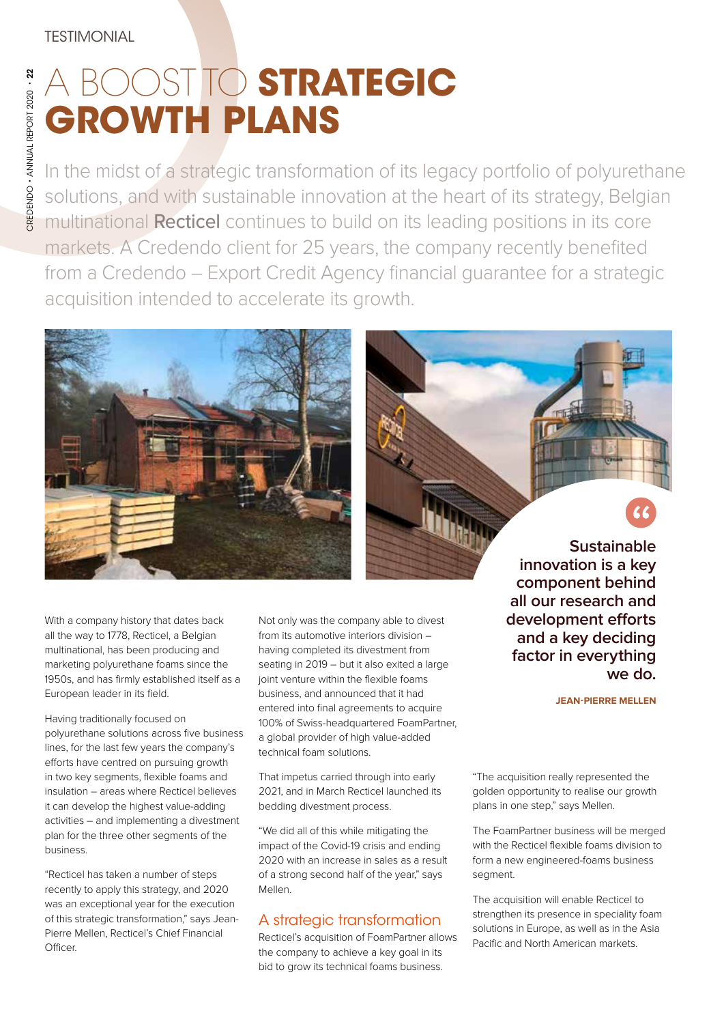# A BOOST TO **STRATEGIC GROWTH PLANS**

In the midst of a strategic transformation of its legacy portfolio of polyurethane solutions, and with sustainable innovation at the heart of its strategy, Belgian multinational Recticel continues to build on its leading positions in its core markets. A Credendo client for 25 years, the company recently benefited from a Credendo – Export Credit Agency financial guarantee for a strategic acquisition intended to accelerate its growth.



With a company history that dates back all the way to 1778, Recticel, a Belgian multinational, has been producing and marketing polyurethane foams since the 1950s, and has firmly established itself as a European leader in its field.

Having traditionally focused on polyurethane solutions across five business lines, for the last few years the company's efforts have centred on pursuing growth in two key segments, flexible foams and insulation – areas where Recticel believes it can develop the highest value-adding activities – and implementing a divestment plan for the three other segments of the business.

"Recticel has taken a number of steps recently to apply this strategy, and 2020 was an exceptional year for the execution of this strategic transformation," says Jean-Pierre Mellen, Recticel's Chief Financial Officer.

Not only was the company able to divest from its automotive interiors division – having completed its divestment from seating in 2019 – but it also exited a large joint venture within the flexible foams business, and announced that it had entered into final agreements to acquire 100% of Swiss-headquartered FoamPartner, a global provider of high value-added technical foam solutions.

That impetus carried through into early 2021, and in March Recticel launched its bedding divestment process.

"We did all of this while mitigating the impact of the Covid-19 crisis and ending 2020 with an increase in sales as a result of a strong second half of the year," says Mellen.

## A strategic transformation

Recticel's acquisition of FoamPartner allows the company to achieve a key goal in its bid to grow its technical foams business.

**Sustainable innovation is a key component behind all our research and development e!orts and a key deciding factor in everything we do.**

**JEAN-PIERRE MELLEN**

"The acquisition really represented the golden opportunity to realise our growth plans in one step," says Mellen.

The FoamPartner business will be merged with the Recticel flexible foams division to form a new engineered-foams business segment.

The acquisition will enable Recticel to strengthen its presence in speciality foam solutions in Europe, as well as in the Asia Pacific and North American markets.